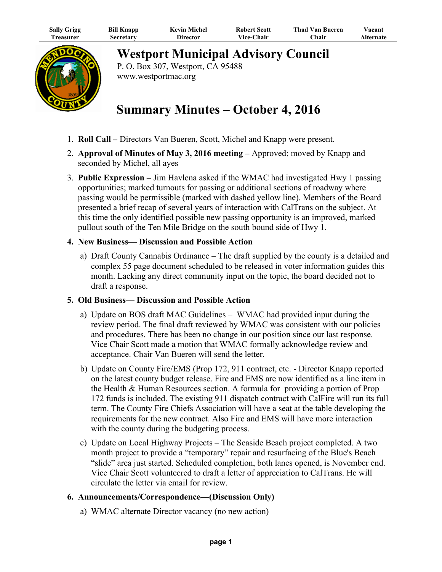| <b>Sally Grigg</b> | <b>Bill Knapp</b> | <b>Kevin Michel</b> | <b>Robert Scott</b> | <b>Thad Van Bueren</b> | Vacant    |
|--------------------|-------------------|---------------------|---------------------|------------------------|-----------|
| l`reasurer         | Secretary         | Director            | Vice-Chair          | ∑hair                  | Alternate |



**Westport Municipal Advisory Council**

P. O. Box 307, Westport, CA 95488 www.westportmac.org

## **Summary Minutes – October 4, 2016**

- 1. **Roll Call** Directors Van Bueren, Scott, Michel and Knapp were present.
- 2. **Approval of Minutes of May 3, 2016 meeting** Approved; moved by Knapp and seconded by Michel, all ayes
- 3. **Public Expression** Jim Havlena asked if the WMAC had investigated Hwy 1 passing opportunities; marked turnouts for passing or additional sections of roadway where passing would be permissible (marked with dashed yellow line). Members of the Board presented a brief recap of several years of interaction with CalTrans on the subject. At this time the only identified possible new passing opportunity is an improved, marked pullout south of the Ten Mile Bridge on the south bound side of Hwy 1.

## **4. New Business— Discussion and Possible Action**

 a) Draft County Cannabis Ordinance – The draft supplied by the county is a detailed and complex 55 page document scheduled to be released in voter information guides this month. Lacking any direct community input on the topic, the board decided not to draft a response.

## **5. Old Business— Discussion and Possible Action**

- a) Update on BOS draft MAC Guidelines WMAC had provided input during the review period. The final draft reviewed by WMAC was consistent with our policies and procedures. There has been no change in our position since our last response. Vice Chair Scott made a motion that WMAC formally acknowledge review and acceptance. Chair Van Bueren will send the letter.
- b) Update on County Fire/EMS (Prop 172, 911 contract, etc. Director Knapp reported on the latest county budget release. Fire and EMS are now identified as a line item in the Health & Human Resources section. A formula for providing a portion of Prop 172 funds is included. The existing 911 dispatch contract with CalFire will run its full term. The County Fire Chiefs Association will have a seat at the table developing the requirements for the new contract. Also Fire and EMS will have more interaction with the county during the budgeting process.
- c) Update on Local Highway Projects The Seaside Beach project completed. A two month project to provide a "temporary" repair and resurfacing of the Blue's Beach "slide" area just started. Scheduled completion, both lanes opened, is November end. Vice Chair Scott volunteered to draft a letter of appreciation to CalTrans. He will circulate the letter via email for review.

## **6. Announcements/Correspondence—(Discussion Only)**

a) WMAC alternate Director vacancy (no new action)